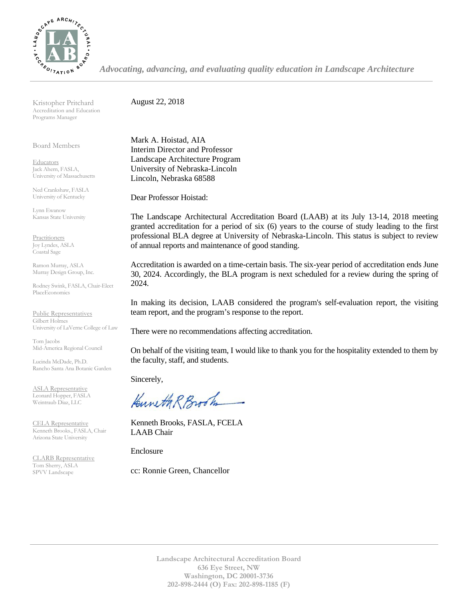

*Advocating, advancing, and evaluating quality education in Landscape Architecture*

Kristopher Pritchard Accreditation and Education Programs Manager

Board Members

**Educators** Jack Ahern, FASLA, University of Massachusetts

Ned Crankshaw, FASLA University of Kentucky

Lynn Ewanow Kansas State University

**Practitioners** Joy Lyndes, ASLA Coastal Sage

Ramon Murray, ASLA Murray Design Group, Inc.

Rodney Swink, FASLA, Chair-Elect PlaceEconomics

Public Representatives Gilbert Holmes University of LaVerne College of Law

Tom Jacobs Mid-America Regional Council

Lucinda McDade, Ph.D. Rancho Santa Ana Botanic Garden

ASLA Representative Leonard Hopper, FASLA Weintraub Diaz, LLC

CELA Representative Kenneth Brooks., FASLA, Chair Arizona State University

CLARB Representative Tom Sherry, ASLA SPVV Landscape

August 22, 2018

Mark A. Hoistad, AIA Interim Director and Professor Landscape Architecture Program University of Nebraska-Lincoln Lincoln, Nebraska 68588

Dear Professor Hoistad:

The Landscape Architectural Accreditation Board (LAAB) at its July 13-14, 2018 meeting granted accreditation for a period of six (6) years to the course of study leading to the first professional BLA degree at University of Nebraska-Lincoln. This status is subject to review of annual reports and maintenance of good standing.

Accreditation is awarded on a time-certain basis. The six-year period of accreditation ends June 30, 2024. Accordingly, the BLA program is next scheduled for a review during the spring of 2024.

In making its decision, LAAB considered the program's self-evaluation report, the visiting team report, and the program's response to the report.

There were no recommendations affecting accreditation.

On behalf of the visiting team, I would like to thank you for the hospitality extended to them by the faculty, staff, and students.

Sincerely,

Kuneth R Brook

Kenneth Brooks, FASLA, FCELA LAAB Chair

Enclosure

cc: Ronnie Green, Chancellor